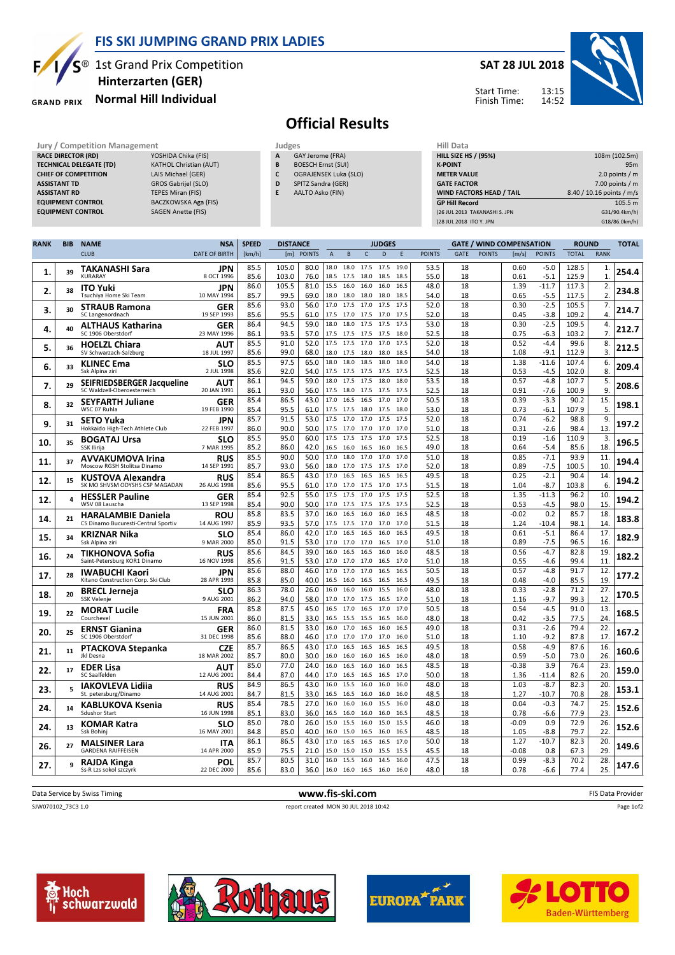

S<sup>®</sup> 1st Grand Prix Competition Hinterzarten (GER)

## Normal Hill Individual **GRAND PRIX**

## SAT 28 JUL 2018



Start Time: Finish Time:

## Official Results

- GAY Jerome (FRA) **B** BOESCH Ernst (SUI)
- C OGRAJENSEK Luka (SLO)
- D SPITZ Sandra (GER)
- E AALTO Asko (FIN)

| Jury / Competition Management  |                               |   | Judges                    | Hill Data                       |                           |
|--------------------------------|-------------------------------|---|---------------------------|---------------------------------|---------------------------|
| <b>RACE DIRECTOR (RD)</b>      | YOSHIDA Chika (FIS)           | A | GAY Jerome (FRA)          | <b>HILL SIZE HS / (95%)</b>     | 108m (102.5m)             |
| <b>TECHNICAL DELEGATE (TD)</b> | <b>KATHOL Christian (AUT)</b> | B | <b>BOESCH Ernst (SUI)</b> | <b>K-POINT</b>                  | 95 <sub>m</sub>           |
| <b>CHIEF OF COMPETITION</b>    | LAIS Michael (GER)            |   | OGRAJENSEK Luka (SLO)     | <b>METER VALUE</b>              | 2.0 points $/m$           |
| <b>ASSISTANT TD</b>            | GROS Gabrijel (SLO)           | D | SPITZ Sandra (GER)        | <b>GATE FACTOR</b>              | $7.00$ points / m         |
| <b>ASSISTANT RD</b>            | <b>TEPES Miran (FIS)</b>      |   | AALTO Asko (FIN)          | <b>WIND FACTORS HEAD / TAIL</b> | 8.40 / 10.16 points / m/s |
| <b>EQUIPMENT CONTROL</b>       | BACZKOWSKA Aga (FIS)          |   |                           | <b>GP Hill Record</b>           | 105.5 m                   |
| <b>EQUIPMENT CONTROL</b>       | SAGEN Anette (FIS)            |   |                           | (26 JUL 2013 TAKANASHI S. JPN   | G31/90.4km/h)             |
|                                |                               |   |                           | (28 JUL 2018 ITO Y. JPN         | G18/86.0km/h)             |

| <b>RANK</b> | <b>BIB</b> | <b>NAME</b>                                                      | <b>NSA</b>                | <b>SPEED</b> | <b>DISTANCE</b> |               |                   |                   |                        | <b>JUDGES</b> |              |               |             |               | <b>GATE / WIND COMPENSATION</b> |                   | <b>ROUND</b>   |             | <b>TOTAL</b> |
|-------------|------------|------------------------------------------------------------------|---------------------------|--------------|-----------------|---------------|-------------------|-------------------|------------------------|---------------|--------------|---------------|-------------|---------------|---------------------------------|-------------------|----------------|-------------|--------------|
|             |            | <b>CLUB</b>                                                      | <b>DATE OF BIRTH</b>      | [km/h]       | [m]             | <b>POINTS</b> | $\overline{A}$    | B                 | $\mathsf{C}$           | D             | F            | <b>POINTS</b> | <b>GATE</b> | <b>POINTS</b> | [m/s]                           | <b>POINTS</b>     | <b>TOTAL</b>   | <b>RANK</b> |              |
| 1.          | 39         | TAKANASHI Sara<br><b>KURARAY</b>                                 | <b>JPN</b><br>8 OCT 1996  | 85.5<br>85.6 | 105.0<br>103.0  | 80.0<br>76.0  | 18.0<br>18.5      | 18.0<br>17.5      | 17.5<br>18.0           | 17.5<br>18.5  | 19.0<br>18.5 | 53.5<br>55.0  | 18<br>18    |               | 0.60<br>0.61                    | $-5.0$<br>$-5.1$  | 128.5<br>125.9 | 1.<br>1.    | 254.4        |
| 2.          | 38         | <b>ITO Yuki</b><br>Tsuchiya Home Ski Team                        | JPN<br>10 MAY 1994        | 86.0<br>85.7 | 105.5<br>99.5   | 81.0<br>69.0  | 15.5<br>18.0 18.0 | 16.0              | 16.0<br>18.0           | 16.0<br>18.0  | 16.5<br>18.5 | 48.0<br>54.0  | 18<br>18    |               | 1.39<br>0.65                    | $-11.7$<br>$-5.5$ | 117.3<br>117.5 | 2.<br>2.    | 234.8        |
| 3.          | 30         | <b>STRAUB Ramona</b><br>SC Langenordnach                         | GER<br>19 SEP 1993        | 85.6<br>85.6 | 93.0<br>95.5    | 56.0<br>61.0  | 17.0<br>17.5      | 17.5<br>17.0      | 17.0<br>17.5           | 17.5<br>17.0  | 17.5<br>17.5 | 52.0<br>52.0  | 18<br>18    |               | 0.30<br>0.45                    | $-2.5$<br>$-3.8$  | 105.5<br>109.2 | 7.<br>4.    | 214.7        |
| 4.          | 40         | ALTHAUS Katharina<br>SC 1906 Oberstdorf                          | GER<br>23 MAY 1996        | 86.4<br>86.1 | 94.5<br>93.5    | 59.0<br>57.0  | 18.0<br>17.5      | 18.0<br>17.5      | 17.5<br>17.5           | 17.5<br>17.5  | 17.5<br>18.0 | 53.0<br>52.5  | 18<br>18    |               | 0.30<br>0.75                    | $-2.5$<br>-6.3    | 109.5<br>103.2 | 4.<br>7.    | 212.7        |
| 5.          | 36         | <b>HOELZL Chiara</b><br>SV Schwarzach-Salzburg                   | AUT<br>18 JUL 1997        | 85.5<br>85.6 | 91.0<br>99.0    | 52.0<br>68.0  | 17.5<br>18.0      | 17.5<br>17.5      | 17.0<br>18.0           | 17.0<br>18.0  | 17.5<br>18.5 | 52.0<br>54.0  | 18<br>18    |               | 0.52<br>1.08                    | $-4.4$<br>$-9.1$  | 99.6<br>112.9  | 8.<br>3.    | 212.5        |
| 6.          | 33         | <b>KLINEC Ema</b><br>Ssk Alpina ziri                             | <b>SLO</b><br>2 JUL 1998  | 85.5<br>85.6 | 97.5<br>92.0    | 65.0<br>54.0  | 18.0<br>17.5      | 18.0<br>17.5      | 18.5<br>17.5           | 18.0<br>17.5  | 18.0<br>17.5 | 54.0<br>52.5  | 18<br>18    |               | 1.38<br>0.53                    | $-11.6$<br>$-4.5$ | 107.4<br>102.0 | 6.<br>8.    | 209.4        |
| 7.          | 29         | SEIFRIEDSBERGER Jacqueline<br>SC Waldzell-Oberoesterreich        | AUT<br>20 JAN 1991        | 86.1<br>86.1 | 94.5<br>93.0    | 59.0<br>56.0  | 18.0<br>17.5      | 17.5<br>18.0      | 17.5<br>17.5           | 18.0<br>17.5  | 18.0<br>17.5 | 53.5<br>52.5  | 18<br>18    |               | 0.57<br>0.91                    | $-4.8$<br>$-7.6$  | 107.7<br>100.9 | 5.<br>9.    | 208.6        |
| 8.          | 32         | <b>SEYFARTH Juliane</b><br>WSC 07 Ruhla                          | GER<br>19 FEB 1990        | 85.4<br>85.4 | 86.5<br>95.5    | 43.0<br>61.0  | 17.0<br>17.5      | 16.5<br>17.5      | 16.5<br>18.0           | 17.0<br>17.5  | 17.0<br>18.0 | 50.5<br>53.0  | 18<br>18    |               | 0.39<br>0.73                    | $-3.3$<br>$-6.1$  | 90.2<br>107.9  | 15.<br>5.   | 198.1        |
| 9.          | 31         | <b>SETO Yuka</b><br>Hokkaido High-Tech Athlete Club              | JPN<br>22 FEB 1997        | 85.7<br>86.0 | 91.5<br>90.0    | 53.0<br>50.0  | 17.5              | 17.0              | 17.0<br>17.5 17.0 17.0 | 17.5<br>17.0  | 17.5<br>17.0 | 52.0<br>51.0  | 18<br>18    |               | 0.74<br>0.31                    | $-6.2$<br>$-2.6$  | 98.8<br>98.4   | 9.<br>13.   | 197.2        |
| 10.         | 35         | <b>BOGATAJ Ursa</b><br>SSK Ilirija                               | SLO<br>7 MAR 1995         | 85.5<br>85.2 | 95.0<br>86.0    | 60.0<br>42.0  | 17.5<br>16.5      | 17.5<br>16.0      | 17.5<br>16.5           | 17.0<br>16.0  | 17.5<br>16.5 | 52.5<br>49.0  | 18<br>18    |               | 0.19<br>0.64                    | $-1.6$<br>$-5.4$  | 110.9<br>85.6  | 3.<br>18    | 196.5        |
| 11.         | 37         | <b>AVVAKUMOVA Irina</b><br>Moscow RGSH Stolitsa Dinamo           | <b>RUS</b><br>14 SEP 1991 | 85.5<br>85.7 | 90.0<br>93.0    | 50.0<br>56.0  | 18.0              | 17.0 18.0<br>17.0 | 17.0<br>17.5           | 17.0<br>17.5  | 17.0<br>17.0 | 51.0<br>52.0  | 18<br>18    |               | 0.85<br>0.89                    | $-7.1$<br>$-7.5$  | 93.9<br>100.5  | 11.<br>10.  | 194.4        |
| 12.         | 15         | KUSTOVA Alexandra<br>SK MO SHVSM ODYSHS CSP MAGADAN              | RUS<br>26 AUG 1998        | 85.4<br>85.6 | 86.5<br>95.5    | 43.0<br>61.0  | 17.0<br>17.0      | 16.5              | 16.5<br>17.0 17.5 17.0 | 16.5          | 16.5<br>17.5 | 49.5<br>51.5  | 18<br>18    |               | 0.25<br>1.04                    | $-2.1$<br>$-8.7$  | 90.4<br>103.8  | 14.<br>6.   | 194.2        |
| 12.         | 4          | <b>HESSLER Pauline</b><br>WSV 08 Lauscha                         | GER<br>13 SEP 1998        | 85.4<br>85.4 | 92.5<br>90.0    | 55.0<br>50.0  | 17.5<br>17.0      | 17.5<br>17.5      | 17.0<br>17.5           | 17.5<br>17.5  | 17.5<br>17.5 | 52.5<br>52.5  | 18<br>18    |               | 1.35<br>0.53                    | $-11.3$<br>$-4.5$ | 96.2<br>98.0   | 10.<br>15.  | 194.2        |
| 14.         | 21         | <b>HARALAMBIE Daniela</b><br>CS Dinamo Bucuresti-Centrul Sportiv | <b>ROU</b><br>14 AUG 1997 | 85.8<br>85.9 | 83.5<br>93.5    | 37.0<br>57.0  | 16.0 16.5<br>17.5 | 17.5              | 16.0<br>17.0           | 16.0<br>17.0  | 16.5<br>17.0 | 48.5<br>51.5  | 18<br>18    |               | $-0.02$<br>1.24                 | 0.2<br>$-10.4$    | 85.7<br>98.1   | 18.<br>14.  | 183.8        |
| 15.         | 34         | <b>KRIZNAR Nika</b><br>Ssk Alpina ziri                           | <b>SLO</b><br>9 MAR 2000  | 85.4<br>85.0 | 86.0<br>91.5    | 42.0<br>53.0  | 17.0              | 16.5              | 16.5<br>17.0 17.0 17.0 | 16.0<br>16.5  | 16.5<br>17.0 | 49.5<br>51.0  | 18<br>18    |               | 0.61<br>0.89                    | $-5.1$<br>$-7.5$  | 86.4<br>96.5   | 17.<br>16.  | 182.9        |
| 16.         | 24         | TIKHONOVA Sofia<br>Saint-Petersburg KOR1 Dinamo                  | RUS<br>16 NOV 1998        | 85.6<br>85.6 | 84.5<br>91.5    | 39.0<br>53.0  | 16.0<br>17.0      | 16.5<br>17.0      | 16.5<br>17.0           | 16.0<br>16.5  | 16.0<br>17.0 | 48.5<br>51.0  | 18<br>18    |               | 0.56<br>0.55                    | $-4.7$<br>$-4.6$  | 82.8<br>99.4   | 19.<br>11.  | 182.2        |
| 17.         | 28         | <b>IWABUCHI Kaori</b><br>Kitano Construction Corp. Ski Club      | <b>JPN</b><br>28 APR 1993 | 85.6<br>85.8 | 88.0<br>85.0    | 46.0<br>40.0  | 17.0<br>16.5      | 17.0<br>16.0      | 17.0<br>16.5           | 16.5<br>16.5  | 16.5<br>16.5 | 50.5<br>49.5  | 18<br>18    |               | 0.57<br>0.48                    | $-4.8$<br>$-4.0$  | 91.7<br>85.5   | 12.<br>19   | 177.2        |
| 18.         | 20         | <b>BRECL Jerneja</b><br><b>SSK Velenje</b>                       | <b>SLO</b><br>9 AUG 2001  | 86.3<br>86.2 | 78.0<br>94.0    | 26.0<br>58.0  | 17.0              | 16.0 16.0<br>17.0 | 16.0<br>17.5           | 15.5<br>16.5  | 16.0<br>17.0 | 48.0<br>51.0  | 18<br>18    |               | 0.33<br>1.16                    | $-2.8$<br>$-9.7$  | 71.2<br>99.3   | 27.<br>12   | 170.5        |
| 19.         | 22         | <b>MORAT Lucile</b><br>Courchevel                                | <b>FRA</b><br>15 JUN 2001 | 85.8<br>86.0 | 87.5<br>81.5    | 45.0<br>33.0  | 16.5<br>16.5      | 17.0<br>15.5      | 16.5<br>15.5           | 17.0<br>16.5  | 17.0<br>16.0 | 50.5<br>48.0  | 18<br>18    |               | 0.54<br>0.42                    | $-4.5$<br>$-3.5$  | 91.0<br>77.5   | 13.<br>24.  | 168.5        |
| 20.         | 25         | <b>ERNST Gianina</b><br>SC 1906 Oberstdorf                       | GER<br>31 DEC 1998        | 86.0<br>85.6 | 81.5<br>88.0    | 33.0<br>46.0  | 16.0<br>17.0      | 17.0<br>17.0      | 16.5<br>17.0           | 16.0<br>17.0  | 16.5<br>16.0 | 49.0<br>51.0  | 18<br>18    |               | 0.31<br>1.10                    | $-2.6$<br>$-9.2$  | 79.4<br>87.8   | 22.<br>17.  | 167.2        |
| 21.         | 11         | PTACKOVA Stepanka<br>Jkl Desna                                   | CZE<br>18 MAR 2002        | 85.7<br>85.7 | 86.5<br>80.0    | 43.0<br>30.0  | 17.0              | 16.5              | 16.5<br>16.0 16.0 16.0 | 16.5<br>16.5  | 16.5<br>16.0 | 49.5<br>48.0  | 18<br>18    |               | 0.58<br>0.59                    | $-4.9$<br>$-5.0$  | 87.6<br>73.0   | 16.<br>26.  | 160.6        |
| 22.         | 17         | <b>EDER Lisa</b><br>SC Saalfelden                                | AUT<br>12 AUG 2001        | 85.0<br>84.4 | 77.0<br>87.0    | 24.0<br>44.0  | 16.0<br>17.0      | 16.5<br>16.5      | 16.0<br>16.5           | 16.0<br>16.5  | 16.5<br>17.0 | 48.5<br>50.0  | 18<br>18    |               | $-0.38$<br>1.36                 | 3.9<br>-11.4      | 76.4<br>82.6   | 23.<br>20.  | 159.0        |
| 23.         | 5          | IAKOVLEVA Lidiia<br>St. petersburg/Dinamo                        | <b>RUS</b><br>14 AUG 2001 | 84.9<br>84.7 | 86.5<br>81.5    | 43.0<br>33.0  | 16.0              | 15.5              | 16.0<br>16.5 16.5 16.0 | 16.0<br>16.0  | 16.0<br>16.0 | 48.0<br>48.5  | 18<br>18    |               | 1.03<br>1.27                    | $-8.7$<br>$-10.7$ | 82.3<br>70.8   | 20.<br>28   | 153.1        |
| 24.         | 14         | <b>KABLUKOVA Ksenia</b><br><b>Sdushor Start</b>                  | <b>RUS</b><br>16 JUN 1998 | 85.4<br>85.1 | 78.5<br>83.0    | 27.0<br>36.0  | 16.0<br>16.5      | 16.0<br>16.0      | 16.0<br>16.0           | 15.5<br>16.0  | 16.0<br>16.5 | 48.0<br>48.5  | 18<br>18    |               | 0.04<br>0.78                    | $-0.3$<br>-6.6    | 74.7<br>77.9   | 25.<br>23.  | 152.6        |
| 24.         | 13         | <b>KOMAR Katra</b><br>Ssk Bohinj                                 | <b>SLO</b><br>16 MAY 2001 | 85.0<br>84.8 | 78.0<br>85.0    | 26.0<br>40.0  | 15.0<br>16.0      | 15.5<br>15.0      | 16.0<br>16.5           | 15.0<br>16.0  | 15.5<br>16.5 | 46.0<br>48.5  | 18<br>18    |               | $-0.09$<br>1.05                 | 0.9<br>$-8.8$     | 72.9<br>79.7   | 26.<br>22   | 152.6        |
| 26.         | 27         | <b>MALSINER Lara</b><br><b>GARDENA RAIFFEISEN</b>                | <b>ITA</b><br>14 APR 2000 | 86.1<br>85.9 | 86.5<br>75.5    | 43.0<br>21.0  | 17.0<br>15.0      | 16.5<br>15.0      | 16.5<br>15.0           | 16.5<br>15.5  | 17.0<br>15.5 | 50.0<br>45.5  | 18<br>18    |               | 1.27<br>$-0.08$                 | $-10.7$<br>0.8    | 82.3<br>67.3   | 20.<br>29   | 149.6        |
| 27.         | q          | <b>RAJDA Kinga</b><br>Ss-R Lzs sokol szczyrk                     | POL<br>22 DEC 2000        | 85.7<br>85.6 | 80.5<br>83.0    | 31.0<br>36.0  | 16.0<br>16.0      | 15.5<br>16.0      | 16.0<br>16.5           | 14.5<br>16.0  | 16.0<br>16.0 | 47.5<br>48.0  | 18<br>18    |               | 0.99<br>0.78                    | $-8.3$<br>$-6.6$  | 70.2<br>77.4   | 28.<br>25.  | 147.6        |

| Data Service by Swiss Timing | www.fis-ski.com                      | <b>FIS Data Provider</b> |
|------------------------------|--------------------------------------|--------------------------|
| SJW070102 73C3 1.0           | report created MON 30 JUL 2018 10:42 | Page 1of2                |
|                              |                                      |                          |